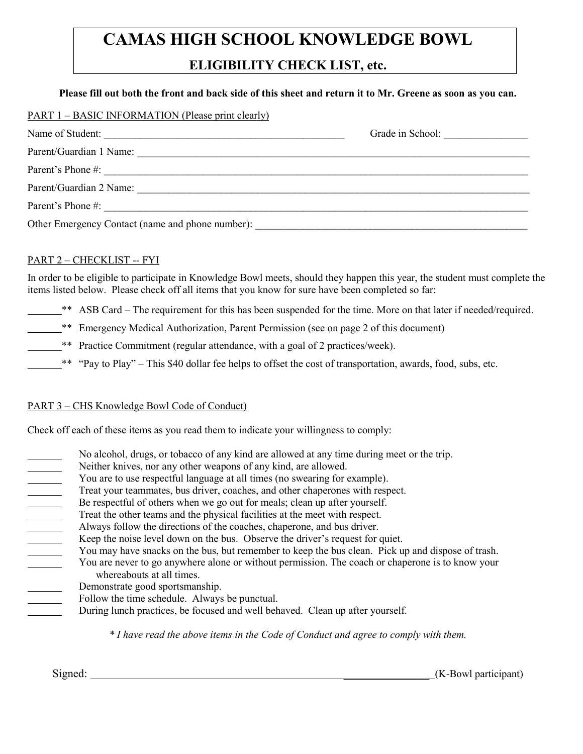# **CAMAS HIGH SCHOOL KNOWLEDGE BOWL**

# **ELIGIBILITY CHECK LIST, etc.**

#### **Please fill out both the front and back side of this sheet and return it to Mr. Greene as soon as you can.**

| PART 1 – BASIC INFORMATION (Please print clearly) |                  |
|---------------------------------------------------|------------------|
| Name of Student:                                  | Grade in School: |
| Parent/Guardian 1 Name:                           |                  |
| Parent's Phone #:                                 |                  |
| Parent/Guardian 2 Name:                           |                  |
| Parent's Phone #:                                 |                  |
| Other Emergency Contact (name and phone number):  |                  |

### PART 2 - CHECKLIST -- FYI

In order to be eligible to participate in Knowledge Bowl meets, should they happen this year, the student must complete the items listed below. Please check off all items that you know for sure have been completed so far:

- \*\* ASB Card The requirement for this has been suspended for the time. More on that later if needed/required.
- \*\* Emergency Medical Authorization, Parent Permission (see on page 2 of this document)
- \*\* Practice Commitment (regular attendance, with a goal of 2 practices/week).
- \*\* "Pay to Play" This \$40 dollar fee helps to offset the cost of transportation, awards, food, subs, etc.

#### PART 3 – CHS Knowledge Bowl Code of Conduct)

Check off each of these items as you read them to indicate your willingness to comply:

- No alcohol, drugs, or tobacco of any kind are allowed at any time during meet or the trip.
- Neither knives, nor any other weapons of any kind, are allowed.
- You are to use respectful language at all times (no swearing for example).
- Treat your teammates, bus driver, coaches, and other chaperones with respect.
- Be respectful of others when we go out for meals; clean up after yourself.
- Treat the other teams and the physical facilities at the meet with respect.
- Always follow the directions of the coaches, chaperone, and bus driver.
- Keep the noise level down on the bus. Observe the driver's request for quiet.
- You may have snacks on the bus, but remember to keep the bus clean. Pick up and dispose of trash.
- You are never to go anywhere alone or without permission. The coach or chaperone is to know your whereabouts at all times.
- Demonstrate good sportsmanship.
- Follow the time schedule. Always be punctual.
- During lunch practices, be focused and well behaved. Clean up after yourself.

*\* I have read the above items in the Code of Conduct and agree to comply with them.*

Signed:  $(K-Bow1$  participant)